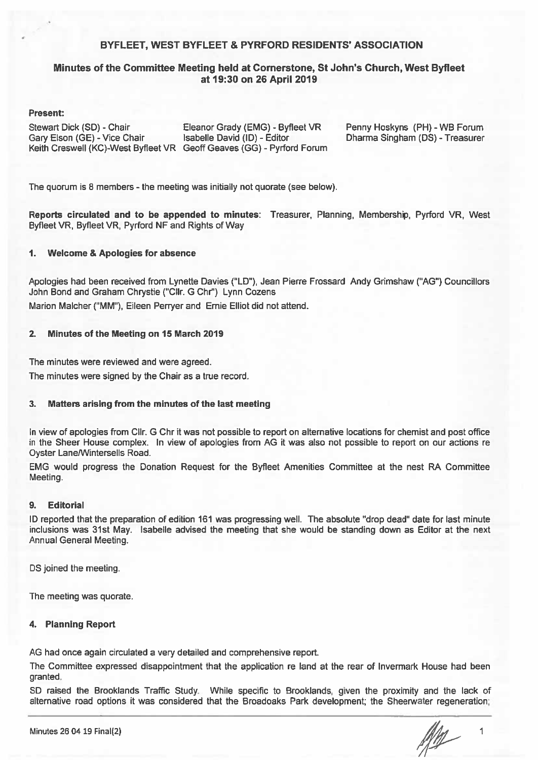#### BYFLEET, WEST BYFLEET & PYRFORD RESIDENTS' ASSOCIATION

#### Minutes of the Committee Meeting held at Cornerstone, St John's Church, West Byfleet at 19:30 on 26 April 2019

#### Present:

Stewart Dick (SD) - Chair Gary Elson (GE) - Vice Chair

Eleanor Grady (EMG) - Byfleet VR Isabelle David (ID) - Editor Keith Creswell (KC)-West Byfleet VR Geoff Geaves (GG) - Pyrford Forum Penny Hoskyns (PH) - WB Forum Dharma Singham (DS) - Treasurer

The quorum is 8 members - the meeting was initially not quorate (see below).

Reports circulated and to be appended to minutes: Treasurer, Planning, Membership, Pyrford VR, West Byfleet VR. Byfleet VR. Pyrford NF and Rights of Way

#### 1. **Welcome & Apologies for absence**

Apologies had been received from Lynette Davies ("LD"), Jean Pierre Frossard Andy Grimshaw ("AG") Councillors John Bond and Graham Chrystie ("Cllr. G Chr") Lynn Cozens Marion Malcher ("MM"), Eileen Perryer and Ernie Elliot did not attend.

#### $2.$ Minutes of the Meeting on 15 March 2019

The minutes were reviewed and were agreed.

The minutes were signed by the Chair as a true record.

#### 3. Matters arising from the minutes of the last meeting

In view of apologies from CIIr. G Chr it was not possible to report on alternative locations for chemist and post office in the Sheer House complex. In view of apologies from AG it was also not possible to report on our actions re **Oyster Lane/Wintersells Road.** 

EMG would progress the Donation Request for the Byfleet Amenities Committee at the nest RA Committee Meeting.

#### $\mathbf{Q}$ **Editorial**

ID reported that the preparation of edition 161 was progressing well. The absolute "drop dead" date for last minute inclusions was 31st May. Isabelle advised the meeting that she would be standing down as Editor at the next Annual General Meeting.

DS joined the meeting.

The meeting was quorate.

#### 4. Planning Report

AG had once again circulated a very detailed and comprehensive report.

The Committee expressed disappointment that the application re land at the rear of Invermark House had been granted.

SD raised the Brooklands Traffic Study. While specific to Brooklands, given the proximity and the lack of alternative road options it was considered that the Broadoaks Park development; the Sheerwater regeneration;

 $\overline{1}$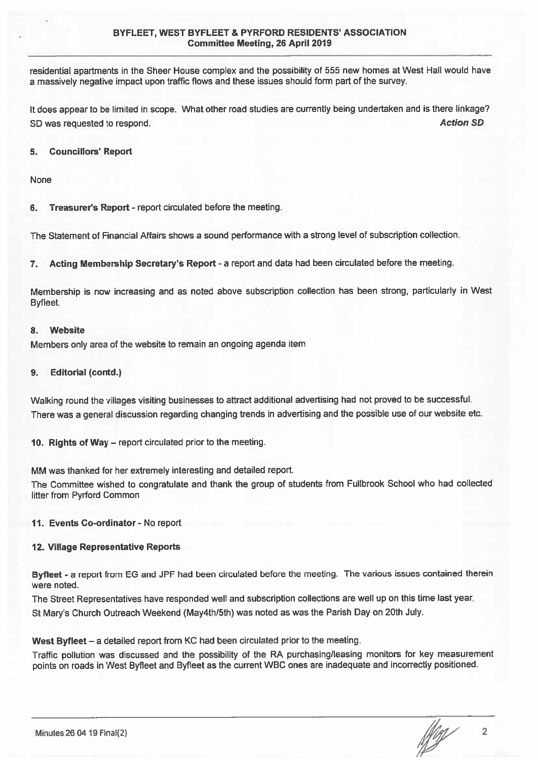residential apartments in the Sheer House complex and the possibility of 555 new homes at West Hall would have a massively negative impact upon traffic flows and these issues should form part of the survey.

It does appear to be limited in scope. What other road studies are currently being undertaken and is there linkage? **Action SD** SD was requested to respond.

#### 5. **Councillors' Report**

None

Treasurer's Report - report circulated before the meeting. 6.

The Statement of Financial Affairs shows a sound performance with a strong level of subscription collection.

7. Acting Membership Secretary's Report - a report and data had been circulated before the meeting.

Membership is now increasing and as noted above subscription collection has been strong, particularly in West Byfleet.

#### **Website**  $\mathbf{R}$

Members only area of the website to remain an ongoing agenda item

#### **Editorial (contd.)**  $9.$

Walking round the villages visiting businesses to attract additional advertising had not proved to be successful. There was a general discussion regarding changing trends in advertising and the possible use of our website etc.

10. Rights of Way – report circulated prior to the meeting.

MM was thanked for her extremely interesting and detailed report.

The Committee wished to congratulate and thank the group of students from Fullbrook School who had collected litter from Pyrford Common

#### 11. Events Co-ordinator - No report

#### 12. Village Representative Reports

Byfleet - a report from EG and JPF had been circulated before the meeting. The various issues contained therein were noted.

The Street Representatives have responded well and subscription collections are well up on this time last year. St Mary's Church Outreach Weekend (May4th/5th) was noted as was the Parish Day on 20th July.

West Byfleet - a detailed report from KC had been circulated prior to the meeting.

Traffic pollution was discussed and the possibility of the RA purchasing/leasing monitors for key measurement points on roads in West Byfleet and Byfleet as the current WBC ones are inadequate and incorrectly positioned.

 $\sqrt{\frac{1}{2}}$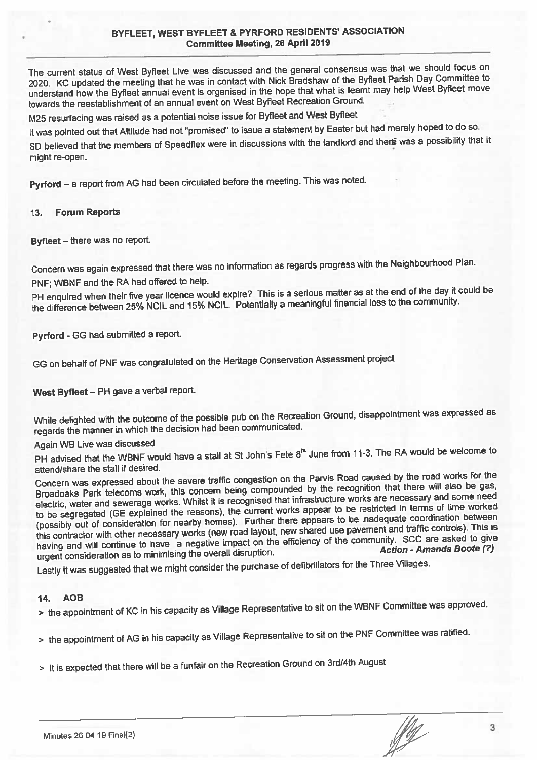### BYFLEET, WEST BYFLEET & PYRFORD RESIDENTS' ASSOCIATION **Committee Meeting, 26 April 2019**

The current status of West Byfleet Live was discussed and the general consensus was that we should focus on 2020. KC updated the meeting that he was in contact with Nick Bradshaw of the Byfleet Parish Day Committee to understand how the Byfleet annual event is organised in the hope that what is learnt may help West Byfleet move towards the reestablishment of an annual event on West Byfleet Recreation Ground.

M25 resurfacing was raised as a potential noise issue for Byfleet and West Byfleet

It was pointed out that Altitude had not "promised" to issue a statement by Easter but had merely hoped to do so.

SD believed that the members of Speedflex were in discussions with the landlord and there was a possibility that it might re-open.

Pyrford - a report from AG had been circulated before the meeting. This was noted.

#### 13. **Forum Reports**

Byfleet - there was no report.

Concern was again expressed that there was no information as regards progress with the Neighbourhood Plan.

PNF; WBNF and the RA had offered to help.

PH enquired when their five year licence would expire? This is a serious matter as at the end of the day it could be the difference between 25% NCIL and 15% NCIL. Potentially a meaningful financial loss to the community.

Pyrford - GG had submitted a report.

GG on behalf of PNF was congratulated on the Heritage Conservation Assessment project

West Byfleet - PH gave a verbal report.

While delighted with the outcome of the possible pub on the Recreation Ground, disappointment was expressed as regards the manner in which the decision had been communicated.

Again WB Live was discussed

PH advised that the WBNF would have a stall at St John's Fete 8<sup>th</sup> June from 11-3. The RA would be welcome to attend/share the stall if desired.

Concern was expressed about the severe traffic congestion on the Parvis Road caused by the road works for the Broadoaks Park telecoms work, this concern being compounded by the recognition that there will also be gas, electric, water and sewerage works. Whilst it is recognised that infrastructure works are necessary and some need to be segregated (GE explained the reasons), the current works appear to be restricted in terms of time worked (possibly out of consideration for nearby homes). Further there appears to be inadequate coordination between this contractor with other necessary works (new road layout, new shared use pavement and traffic controls). This is having and will continue to have a negative impact on the efficiency of the community. SCC are asked to give Action - Amanda Boote (?) urgent consideration as to minimising the overall disruption.

Lastly it was suggested that we might consider the purchase of defibrillators for the Three Villages.

#### $14.$ **AOB**

> the appointment of KC in his capacity as Village Representative to sit on the WBNF Committee was approved.

> the appointment of AG in his capacity as Village Representative to sit on the PNF Committee was ratified.

> it is expected that there will be a funfair on the Recreation Ground on 3rd/4th August

 $\sqrt{\frac{1}{2}}$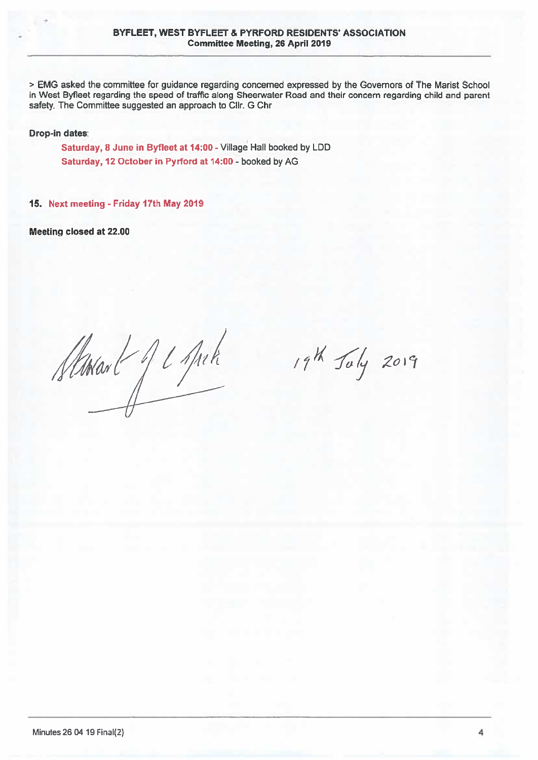> EMG asked the committee for guidance regarding concerned expressed by the Governors of The Marist School in West Byfleet regarding the speed of traffic along Sheerwater Road and their concern regarding child and parent safety. The Committee suggested an approach to Cllr. G Chr.

**Drop-in dates:** 

Saturday, 8 June in Byfleet at 14:00 - Village Hall booked by LDD Saturday, 12 October in Pyrford at 14:00 - booked by AG

15. Next meeting - Friday 17th May 2019

Meeting closed at 22.00

Stanant Je sprk

19th July 2019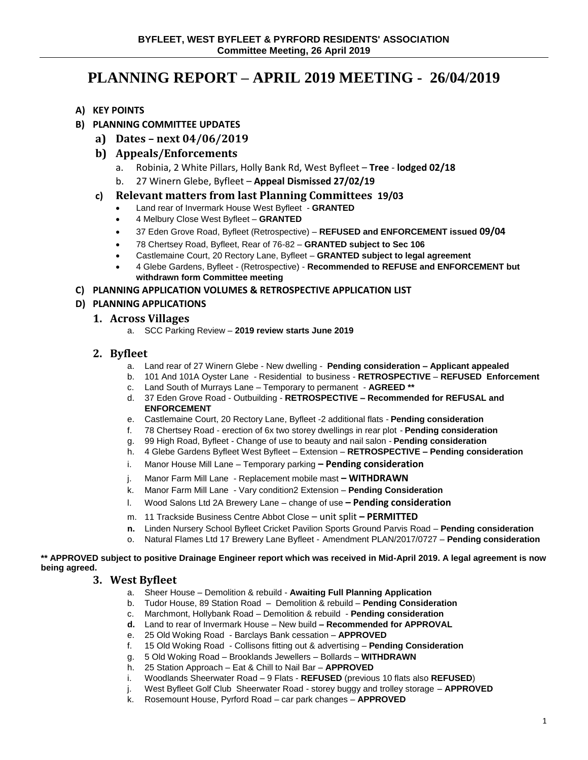# **PLANNING REPORT – APRIL 2019 MEETING - 26/04/2019**

- **A) KEY POINTS**
- **B) PLANNING COMMITTEE UPDATES**
	- **a) Dates – next 04/06/2019**
	- **b) Appeals/Enforcements**
		- a. Robinia, 2 White Pillars, Holly Bank Rd, West Byfleet **Tree lodged 02/18**
		- b. 27 Winern Glebe, Byfleet **Appeal Dismissed 27/02/19**
	- **c) Relevant matters from last Planning Committees 19/03**
		- Land rear of Invermark House West Byfleet **GRANTED**
		- 4 Melbury Close West Byfleet **GRANTED**
		- 37 Eden Grove Road, Byfleet (Retrospective) **REFUSED and ENFORCEMENT issued 09/04**
		- 78 Chertsey Road, Byfleet, Rear of 76-82 **GRANTED subject to Sec 106**
		- Castlemaine Court, 20 Rectory Lane, Byfleet **GRANTED subject to legal agreement**
		- 4 Glebe Gardens, Byfleet (Retrospective) **Recommended to REFUSE and ENFORCEMENT but withdrawn form Committee meeting**

**C) PLANNING APPLICATION VOLUMES & RETROSPECTIVE APPLICATION LIST**

#### **D) PLANNING APPLICATIONS**

#### **1. Across Villages**

a. SCC Parking Review – **2019 review starts June 2019**

### **2. Byfleet**

- a. Land rear of 27 Winern Glebe New dwelling **Pending consideration – Applicant appealed**
- b. 101 And 101A Oyster Lane Residential to business **RETROSPECTIVE REFUSED Enforcement**
- c. Land South of Murrays Lane Temporary to permanent **AGREED \*\***
- d. 37 Eden Grove Road Outbuilding **RETROSPECTIVE – Recommended for REFUSAL and ENFORCEMENT**
- e. Castlemaine Court, 20 Rectory Lane, Byfleet -2 additional flats **Pending consideration**
- f. 78 Chertsey Road erection of 6x two storey dwellings in rear plot **Pending consideration**
- g. 99 High Road, Byfleet Change of use to beauty and nail salon **Pending consideration**
- h. 4 Glebe Gardens Byfleet West Byfleet Extension **RETROSPECTIVE – Pending consideration**
- i. Manor House Mill Lane Temporary parking **– Pending consideration**
- j. Manor Farm Mill Lane Replacement mobile mast **– WITHDRAWN**
- k. Manor Farm Mill Lane Vary condition2 Extension **Pending Consideration**
- l. Wood Salons Ltd 2A Brewery Lane change of use **– Pending consideration**
- m. 11 Trackside Business Centre Abbot Close unit split **– PERMITTED**
- **n.** Linden Nursery School Byfleet Cricket Pavilion Sports Ground Parvis Road **Pending consideration**
- o. Natural Flames Ltd 17 Brewery Lane Byfleet Amendment PLAN/2017/0727 **Pending consideration**

**\*\* APPROVED subject to positive Drainage Engineer report which was received in Mid-April 2019. A legal agreement is now being agreed.**

### **3. West Byfleet**

- a. Sheer House Demolition & rebuild **Awaiting Full Planning Application**
- b. Tudor House, 89 Station Road Demolition & rebuild **Pending Consideration**
- c. Marchmont, Hollybank Road Demolition & rebuild **Pending consideration**
- **d.** Land to rear of Invermark House New build **– Recommended for APPROVAL**
- e. 25 Old Woking Road Barclays Bank cessation **APPROVED**
- f. 15 Old Woking Road Collisons fitting out & advertising **Pending Consideration**
- g. 5 Old Woking Road Brooklands Jewellers Bollards **WITHDRAWN**
- h. 25 Station Approach Eat & Chill to Nail Bar **APPROVED**
- i. Woodlands Sheerwater Road 9 Flats **REFUSED** (previous 10 flats also **REFUSED**)
- j. West Byfleet Golf Club Sheerwater Road storey buggy and trolley storage **APPROVED**
- k. Rosemount House, Pyrford Road car park changes **APPROVED**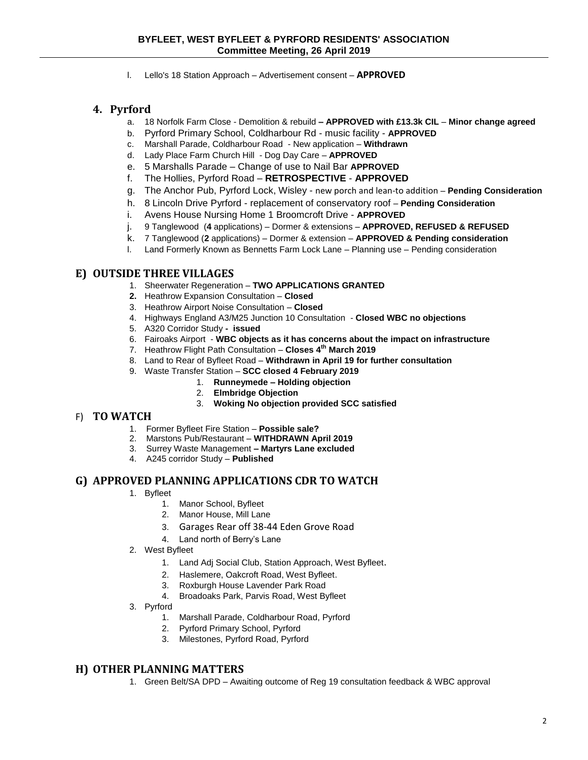l. Lello's 18 Station Approach – Advertisement consent – **APPROVED**

## **4. Pyrford**

- a. 18 Norfolk Farm Close Demolition & rebuild **– APPROVED with £13.3k CIL Minor change agreed**
- b. Pyrford Primary School, Coldharbour Rd music facility **APPROVED**
- c. Marshall Parade, Coldharbour Road New application **Withdrawn**
- d. Lady Place Farm Church Hill Dog Day Care **APPROVED**
- e. 5 Marshalls Parade Change of use to Nail Bar **APPROVED**
- f. The Hollies, Pyrford Road **RETROSPECTIVE APPROVED**
- g. The Anchor Pub, Pyrford Lock, Wisley new porch and lean-to addition **Pending Consideration**
- h. 8 Lincoln Drive Pyrford replacement of conservatory roof **Pending Consideration**
- i. Avens House Nursing Home 1 Broomcroft Drive **APPROVED**
- j. 9 Tanglewood (**4** applications) Dormer & extensions **APPROVED, REFUSED & REFUSED**
- k. 7 Tanglewood (**2** applications) Dormer & extension **APPROVED & Pending consideration**
- l. Land Formerly Known as Bennetts Farm Lock Lane Planning use Pending consideration

#### **E) OUTSIDE THREE VILLAGES**

- 1. Sheerwater Regeneration **TWO APPLICATIONS GRANTED**
- **2.** Heathrow Expansion Consultation **Closed**
- 3. Heathrow Airport Noise Consultation **Closed**
- 4. Highways England A3/M25 Junction 10 Consultation **Closed WBC no objections**
- 5. A320 Corridor Study  **issued**
- 6. Fairoaks Airport **WBC objects as it has concerns about the impact on infrastructure**
- 7. Heathrow Flight Path Consultation **Closes 4th March 2019**
- 8. Land to Rear of Byfleet Road **Withdrawn in April 19 for further consultation**
- 9. Waste Transfer Station **SCC closed 4 February 2019**
	- 1. **Runneymede – Holding objection**
	- 2. **Elmbridge Objection**
	- 3. **Woking No objection provided SCC satisfied**

#### F) **TO WATCH**

- 1. Former Byfleet Fire Station **Possible sale?**
- 2. Marstons Pub/Restaurant **WITHDRAWN April 2019**
- 3. Surrey Waste Management **– Martyrs Lane excluded**
- 4. A245 corridor Study **Published**

#### **G) APPROVED PLANNING APPLICATIONS CDR TO WATCH**

- 1. Byfleet
	- 1. Manor School, Byfleet
	- 2. Manor House, Mill Lane
	- 3. Garages Rear off 38-44 Eden Grove Road
	- 4. Land north of Berry's Lane
- 2. West Byfleet
	- 1. Land Adj Social Club, Station Approach, West Byfleet.
	- 2. Haslemere, Oakcroft Road, West Byfleet.
	- 3. Roxburgh House Lavender Park Road
	- 4. Broadoaks Park, Parvis Road, West Byfleet
- 3. Pyrford
	- 1. Marshall Parade, Coldharbour Road, Pyrford
	- 2. Pyrford Primary School, Pyrford
	- 3. Milestones, Pyrford Road, Pyrford

#### **H) OTHER PLANNING MATTERS**

1. Green Belt/SA DPD – Awaiting outcome of Reg 19 consultation feedback & WBC approval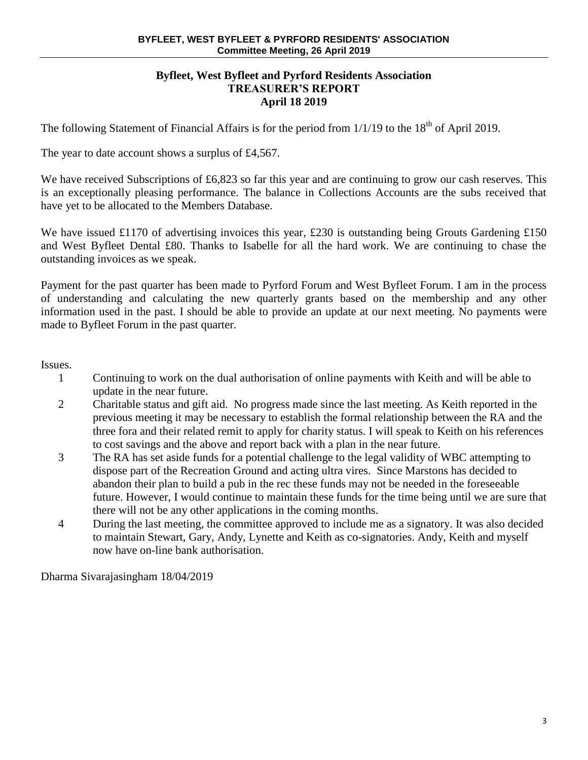### **Byfleet, West Byfleet and Pyrford Residents Association TREASURER'S REPORT April 18 2019**

The following Statement of Financial Affairs is for the period from  $1/1/19$  to the  $18<sup>th</sup>$  of April 2019.

The year to date account shows a surplus of £4,567.

We have received Subscriptions of £6,823 so far this year and are continuing to grow our cash reserves. This is an exceptionally pleasing performance. The balance in Collections Accounts are the subs received that have yet to be allocated to the Members Database.

We have issued £1170 of advertising invoices this year, £230 is outstanding being Grouts Gardening £150 and West Byfleet Dental £80. Thanks to Isabelle for all the hard work. We are continuing to chase the outstanding invoices as we speak.

Payment for the past quarter has been made to Pyrford Forum and West Byfleet Forum. I am in the process of understanding and calculating the new quarterly grants based on the membership and any other information used in the past. I should be able to provide an update at our next meeting. No payments were made to Byfleet Forum in the past quarter.

Issues.

- 1 Continuing to work on the dual authorisation of online payments with Keith and will be able to update in the near future.
- 2 Charitable status and gift aid. No progress made since the last meeting. As Keith reported in the previous meeting it may be necessary to establish the formal relationship between the RA and the three fora and their related remit to apply for charity status. I will speak to Keith on his references to cost savings and the above and report back with a plan in the near future.
- 3 The RA has set aside funds for a potential challenge to the legal validity of WBC attempting to dispose part of the Recreation Ground and acting ultra vires. Since Marstons has decided to abandon their plan to build a pub in the rec these funds may not be needed in the foreseeable future. However, I would continue to maintain these funds for the time being until we are sure that there will not be any other applications in the coming months.
- 4 During the last meeting, the committee approved to include me as a signatory. It was also decided to maintain Stewart, Gary, Andy, Lynette and Keith as co-signatories. Andy, Keith and myself now have on-line bank authorisation.

Dharma Sivarajasingham 18/04/2019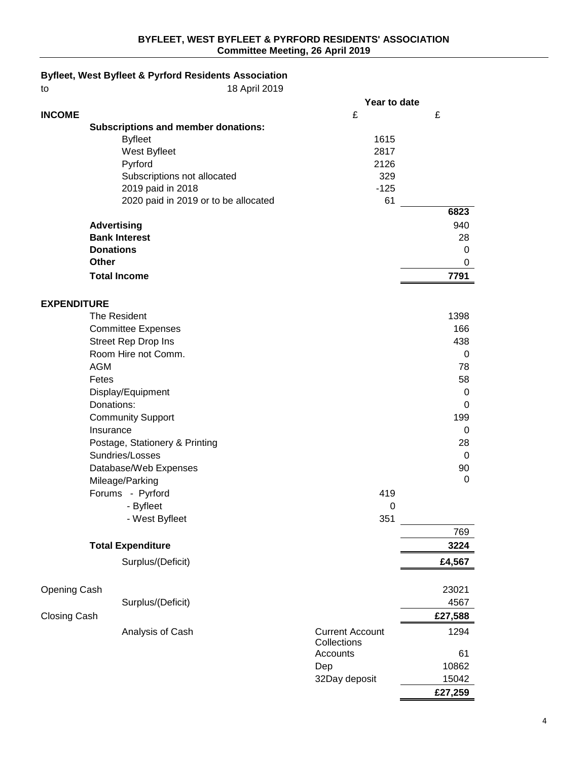## **Byfleet, West Byfleet & Pyrford Residents Association**

to 18 April 2019

|                     |                                            | Year to date            |         |
|---------------------|--------------------------------------------|-------------------------|---------|
| <b>INCOME</b>       |                                            | £                       | £       |
|                     | <b>Subscriptions and member donations:</b> |                         |         |
|                     | <b>Byfleet</b>                             | 1615                    |         |
|                     | West Byfleet                               | 2817                    |         |
|                     | Pyrford                                    | 2126                    |         |
|                     | Subscriptions not allocated                | 329                     |         |
|                     | 2019 paid in 2018                          | $-125$                  |         |
|                     | 2020 paid in 2019 or to be allocated       | 61                      |         |
|                     |                                            |                         | 6823    |
|                     | <b>Advertising</b>                         |                         | 940     |
|                     | <b>Bank Interest</b>                       |                         | 28      |
|                     | <b>Donations</b>                           |                         | 0       |
|                     | <b>Other</b>                               |                         | 0       |
|                     | <b>Total Income</b>                        |                         | 7791    |
|                     |                                            |                         |         |
| <b>EXPENDITURE</b>  |                                            |                         |         |
|                     | The Resident                               |                         | 1398    |
|                     | <b>Committee Expenses</b>                  |                         | 166     |
|                     | Street Rep Drop Ins                        |                         | 438     |
|                     | Room Hire not Comm.                        |                         | 0       |
|                     | <b>AGM</b>                                 |                         | 78      |
|                     | Fetes                                      |                         | 58      |
|                     |                                            |                         |         |
|                     | Display/Equipment                          |                         | 0       |
|                     | Donations:                                 |                         | 0       |
|                     | <b>Community Support</b>                   |                         | 199     |
|                     | Insurance                                  |                         | 0       |
|                     | Postage, Stationery & Printing             |                         | 28      |
|                     | Sundries/Losses                            |                         | 0       |
|                     | Database/Web Expenses                      |                         | 90      |
|                     | Mileage/Parking                            |                         | 0       |
|                     | Forums - Pyrford                           | 419                     |         |
|                     | - Byfleet                                  | 0                       |         |
|                     | - West Byfleet                             | 351                     |         |
|                     |                                            |                         | 769     |
|                     | <b>Total Expenditure</b>                   |                         | 3224    |
|                     | Surplus/(Deficit)                          |                         | £4,567  |
|                     |                                            |                         |         |
| Opening Cash        |                                            |                         | 23021   |
|                     | Surplus/(Deficit)                          |                         | 4567    |
| <b>Closing Cash</b> |                                            |                         | £27,588 |
|                     |                                            |                         |         |
|                     | Analysis of Cash                           | <b>Current Account</b>  | 1294    |
|                     |                                            | Collections<br>Accounts | 61      |
|                     |                                            |                         |         |
|                     |                                            | Dep                     | 10862   |
|                     |                                            | 32Day deposit           | 15042   |
|                     |                                            |                         | £27,259 |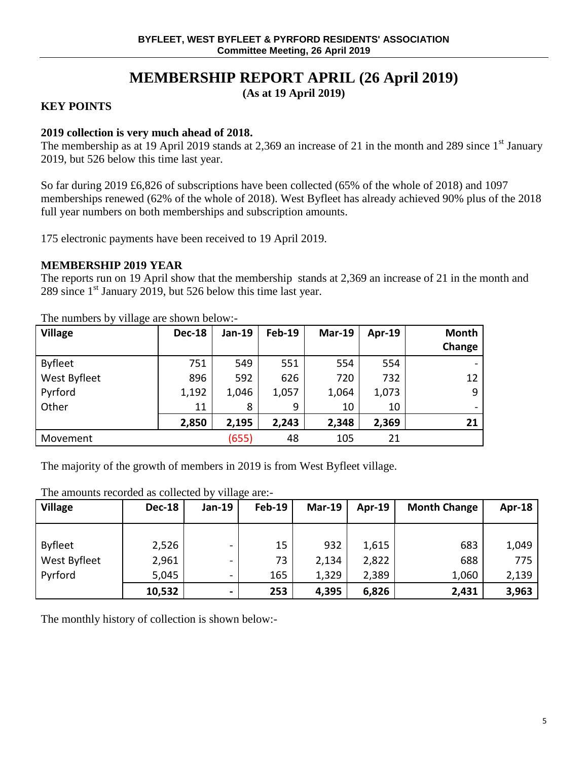# **MEMBERSHIP REPORT APRIL (26 April 2019)**

**(As at 19 April 2019)**

## **KEY POINTS**

## **2019 collection is very much ahead of 2018.**

The membership as at 19 April 2019 stands at 2,369 an increase of 21 in the month and 289 since  $1<sup>st</sup>$  January 2019, but 526 below this time last year.

So far during 2019 £6,826 of subscriptions have been collected (65% of the whole of 2018) and 1097 memberships renewed (62% of the whole of 2018). West Byfleet has already achieved 90% plus of the 2018 full year numbers on both memberships and subscription amounts.

175 electronic payments have been received to 19 April 2019.

### **MEMBERSHIP 2019 YEAR**

The reports run on 19 April show that the membership stands at 2,369 an increase of 21 in the month and 289 since  $1<sup>st</sup>$  January 2019, but 526 below this time last year.

| <b>Village</b> | <b>Dec-18</b> | <b>Jan-19</b> | <b>Feb-19</b> | <b>Mar-19</b> | Apr-19 | <b>Month</b><br>Change |
|----------------|---------------|---------------|---------------|---------------|--------|------------------------|
| <b>Byfleet</b> | 751           | 549           | 551           | 554           | 554    |                        |
| West Byfleet   | 896           | 592           | 626           | 720           | 732    | 12                     |
| Pyrford        | 1,192         | 1,046         | 1,057         | 1,064         | 1,073  | 9                      |
| Other          | 11            | 8             | 9             | 10            | 10     |                        |
|                | 2,850         | 2,195         | 2,243         | 2,348         | 2,369  | 21                     |
| Movement       |               | (655)         | 48            | 105           | 21     |                        |

The numbers by village are shown below:-

The majority of the growth of members in 2019 is from West Byfleet village.

### The amounts recorded as collected by village are:-

| <b>Village</b> | <b>Dec-18</b> | <b>Jan-19</b>  | Feb-19 | <b>Mar-19</b> | $Apr-19$ | <b>Month Change</b> | Apr-18 |
|----------------|---------------|----------------|--------|---------------|----------|---------------------|--------|
|                |               |                |        |               |          |                     |        |
| <b>Byfleet</b> | 2,526         | -              | 15     | 932           | 1,615    | 683                 | 1,049  |
| West Byfleet   | 2,961         | -              | 73     | 2,134         | 2,822    | 688                 | 775    |
| Pyrford        | 5,045         | -              | 165    | 1,329         | 2,389    | 1,060               | 2,139  |
|                | 10,532        | $\blacksquare$ | 253    | 4,395         | 6,826    | 2,431               | 3,963  |

The monthly history of collection is shown below:-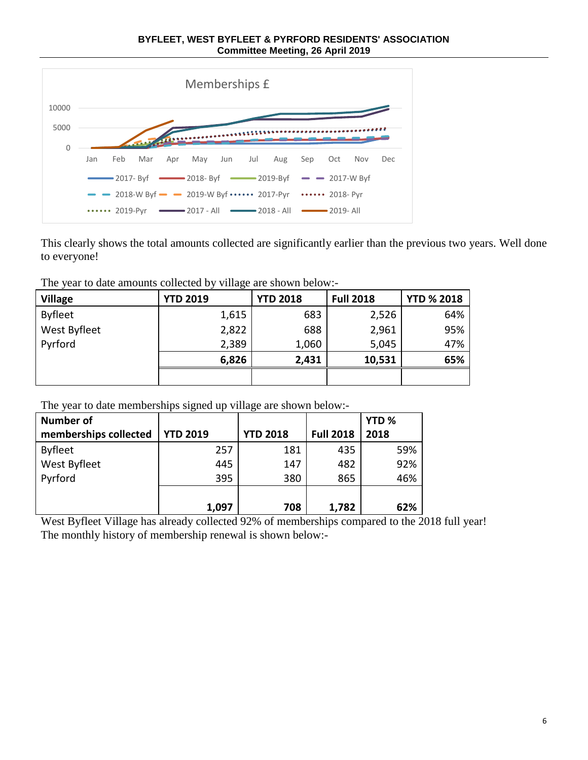**BYFLEET, WEST BYFLEET & PYRFORD RESIDENTS' ASSOCIATION Committee Meeting, 26 April 2019**



This clearly shows the total amounts collected are significantly earlier than the previous two years. Well done to everyone!

The year to date amounts collected by village are shown below:-

| <b>Village</b> | <b>YTD 2019</b> | <b>YTD 2018</b> | <b>Full 2018</b> | <b>YTD % 2018</b> |
|----------------|-----------------|-----------------|------------------|-------------------|
| <b>Byfleet</b> | 1,615           | 683             | 2,526            | 64%               |
| West Byfleet   | 2,822           | 688             | 2,961            | 95%               |
| Pyrford        | 2,389           | 1,060           | 5,045            | 47%               |
|                | 6,826           | 2,431           | 10,531           | 65%               |
|                |                 |                 |                  |                   |

The year to date memberships signed up village are shown below:-

| <b>Number of</b>      |                 |                 |                  | YTD <sub>%</sub> |
|-----------------------|-----------------|-----------------|------------------|------------------|
| memberships collected | <b>YTD 2019</b> | <b>YTD 2018</b> | <b>Full 2018</b> | 2018             |
| <b>Byfleet</b>        | 257             | 181             | 435              | 59%              |
| West Byfleet          | 445             | 147             | 482              | 92%              |
| Pyrford               | 395             | 380             | 865              | 46%              |
|                       |                 |                 |                  |                  |
|                       | 1,097           | 708             | 1,782            | 62%              |

West Byfleet Village has already collected 92% of memberships compared to the 2018 full year! The monthly history of membership renewal is shown below:-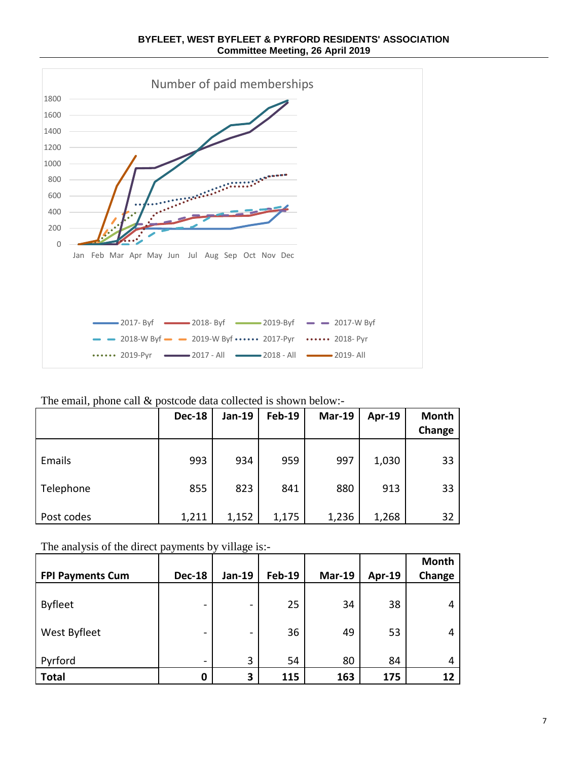Number of paid memberships 1800 1600 1400 1200 1000 **Profession Contracts** 800 600 400 200 0 Jan Feb Mar Apr May Jun Jul Aug Sep Oct Nov Dec



| $\frac{1}{2017}$ - Byf $\frac{1}{2018}$ - Byf $\frac{1}{2018}$ - Byf $\frac{1}{2019}$ - Byf $\frac{1}{2017}$ - W Byf |  |
|----------------------------------------------------------------------------------------------------------------------|--|
| $\sim$ 2018-W Byf $\sim$ 2019-W Byf •••••• 2017-Pyr •••••• 2018- Pyr                                                 |  |
| $\cdots$ 2019-Pyr $\longrightarrow$ 2017 - All $\longrightarrow$ 2018 - All $\longrightarrow$ 2019- All              |  |

## The email, phone call & postcode data collected is shown below:-

|            | <b>Dec-18</b> | Jan-19 | <b>Feb-19</b> | <b>Mar-19</b> | Apr-19 | <b>Month</b><br>Change |
|------------|---------------|--------|---------------|---------------|--------|------------------------|
| Emails     | 993           | 934    | 959           | 997           | 1,030  | 33                     |
| Telephone  | 855           | 823    | 841           | 880           | 913    | 33                     |
| Post codes | 1,211         | 1,152  | 1,175         | 1,236         | 1,268  | 32                     |

The analysis of the direct payments by village is:-

| <b>FPI Payments Cum</b> | <b>Dec-18</b>            | Jan-19                   | <b>Feb-19</b> | <b>Mar-19</b> | Apr-19 | Month<br>Change |
|-------------------------|--------------------------|--------------------------|---------------|---------------|--------|-----------------|
| <b>Byfleet</b>          | $\overline{\phantom{0}}$ | -                        | 25            | 34            | 38     | 4               |
| West Byfleet            | $\overline{\phantom{0}}$ | $\overline{\phantom{0}}$ | 36            | 49            | 53     | 4               |
| Pyrford                 | $\overline{\phantom{a}}$ | 3                        | 54            | 80            | 84     | 4               |
| <b>Total</b>            | 0                        | 3                        | 115           | 163           | 175    | 12              |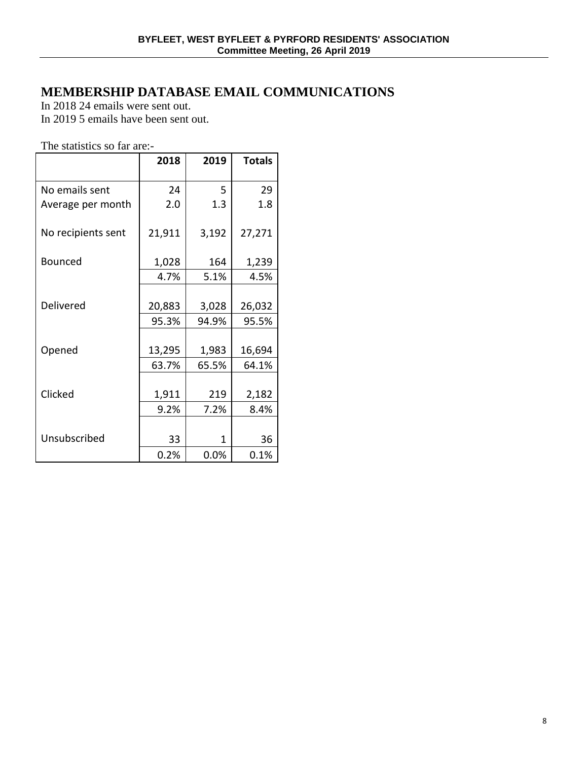# **MEMBERSHIP DATABASE EMAIL COMMUNICATIONS**

In 2018 24 emails were sent out.

In 2019 5 emails have been sent out.

The statistics so far are:-

|                    | 2018   | 2019  | <b>Totals</b> |
|--------------------|--------|-------|---------------|
| No emails sent     | 24     | 5     | 29            |
| Average per month  | 2.0    | 1.3   | 1.8           |
| No recipients sent | 21,911 | 3,192 | 27,271        |
| <b>Bounced</b>     | 1,028  | 164   | 1,239         |
|                    | 4.7%   | 5.1%  | 4.5%          |
|                    |        |       |               |
| Delivered          | 20,883 | 3,028 | 26,032        |
|                    | 95.3%  | 94.9% | 95.5%         |
|                    |        |       |               |
| Opened             | 13,295 | 1,983 | 16,694        |
|                    | 63.7%  | 65.5% | 64.1%         |
|                    |        |       |               |
| Clicked            | 1,911  | 219   | 2,182         |
|                    | 9.2%   | 7.2%  | 8.4%          |
|                    |        |       |               |
| Unsubscribed       | 33     | 1     | 36            |
|                    | 0.2%   | 0.0%  | 0.1%          |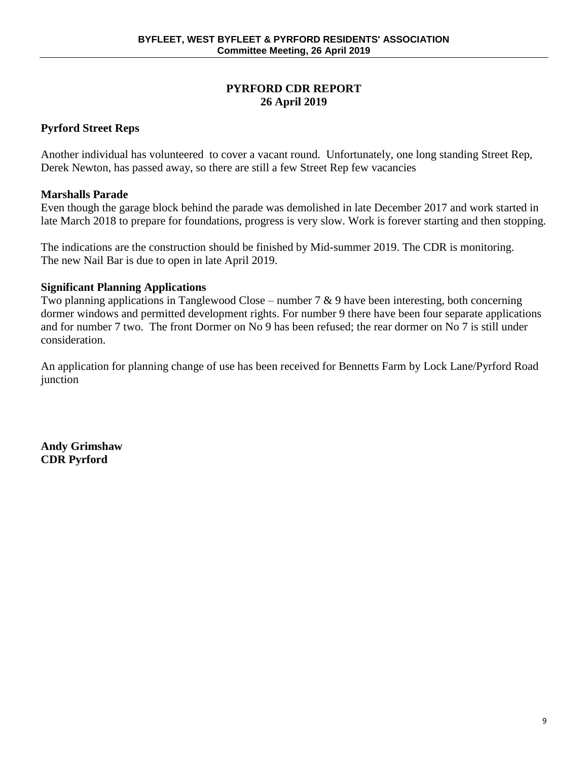## **PYRFORD CDR REPORT 26 April 2019**

## **Pyrford Street Reps**

Another individual has volunteered to cover a vacant round. Unfortunately, one long standing Street Rep, Derek Newton, has passed away, so there are still a few Street Rep few vacancies

## **Marshalls Parade**

Even though the garage block behind the parade was demolished in late December 2017 and work started in late March 2018 to prepare for foundations, progress is very slow. Work is forever starting and then stopping.

The indications are the construction should be finished by Mid-summer 2019. The CDR is monitoring. The new Nail Bar is due to open in late April 2019.

## **Significant Planning Applications**

Two planning applications in Tanglewood Close – number  $7 \& 9$  have been interesting, both concerning dormer windows and permitted development rights. For number 9 there have been four separate applications and for number 7 two. The front Dormer on No 9 has been refused; the rear dormer on No 7 is still under consideration.

An application for planning change of use has been received for Bennetts Farm by Lock Lane/Pyrford Road junction

**Andy Grimshaw CDR Pyrford**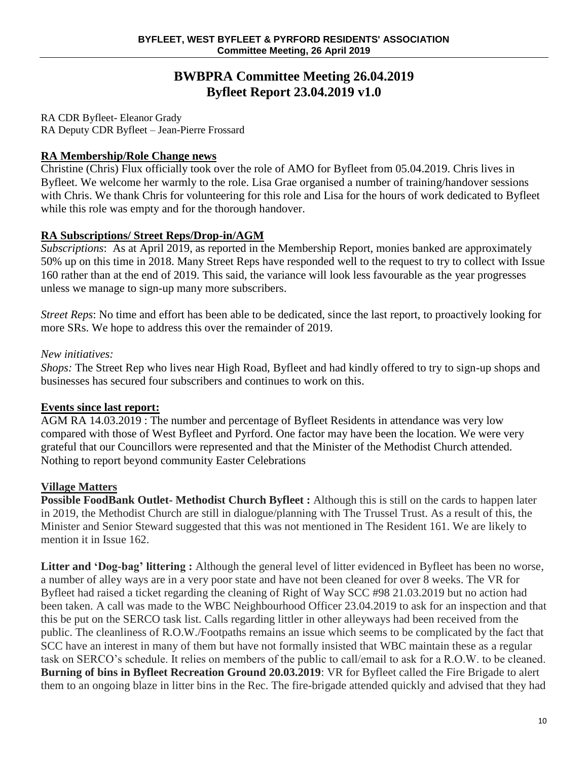## **BWBPRA Committee Meeting 26.04.2019 Byfleet Report 23.04.2019 v1.0**

RA CDR Byfleet- Eleanor Grady RA Deputy CDR Byfleet – Jean-Pierre Frossard

## **RA Membership/Role Change news**

Christine (Chris) Flux officially took over the role of AMO for Byfleet from 05.04.2019. Chris lives in Byfleet. We welcome her warmly to the role. Lisa Grae organised a number of training/handover sessions with Chris. We thank Chris for volunteering for this role and Lisa for the hours of work dedicated to Byfleet while this role was empty and for the thorough handover.

## **RA Subscriptions/ Street Reps/Drop-in/AGM**

*Subscriptions*: As at April 2019, as reported in the Membership Report, monies banked are approximately 50% up on this time in 2018. Many Street Reps have responded well to the request to try to collect with Issue 160 rather than at the end of 2019. This said, the variance will look less favourable as the year progresses unless we manage to sign-up many more subscribers.

*Street Reps*: No time and effort has been able to be dedicated, since the last report, to proactively looking for more SRs. We hope to address this over the remainder of 2019.

## *New initiatives:*

*Shops:* The Street Rep who lives near High Road, Byfleet and had kindly offered to try to sign-up shops and businesses has secured four subscribers and continues to work on this.

## **Events since last report:**

AGM RA 14.03.2019 : The number and percentage of Byfleet Residents in attendance was very low compared with those of West Byfleet and Pyrford. One factor may have been the location. We were very grateful that our Councillors were represented and that the Minister of the Methodist Church attended. Nothing to report beyond community Easter Celebrations

## **Village Matters**

**Possible FoodBank Outlet- Methodist Church Byfleet :** Although this is still on the cards to happen later in 2019, the Methodist Church are still in dialogue/planning with The Trussel Trust. As a result of this, the Minister and Senior Steward suggested that this was not mentioned in The Resident 161. We are likely to mention it in Issue 162.

Litter and 'Dog-bag' littering : Although the general level of litter evidenced in Byfleet has been no worse, a number of alley ways are in a very poor state and have not been cleaned for over 8 weeks. The VR for Byfleet had raised a ticket regarding the cleaning of Right of Way SCC #98 21.03.2019 but no action had been taken. A call was made to the WBC Neighbourhood Officer 23.04.2019 to ask for an inspection and that this be put on the SERCO task list. Calls regarding littler in other alleyways had been received from the public. The cleanliness of R.O.W./Footpaths remains an issue which seems to be complicated by the fact that SCC have an interest in many of them but have not formally insisted that WBC maintain these as a regular task on SERCO's schedule. It relies on members of the public to call/email to ask for a R.O.W. to be cleaned. **Burning of bins in Byfleet Recreation Ground 20.03.2019**: VR for Byfleet called the Fire Brigade to alert them to an ongoing blaze in litter bins in the Rec. The fire-brigade attended quickly and advised that they had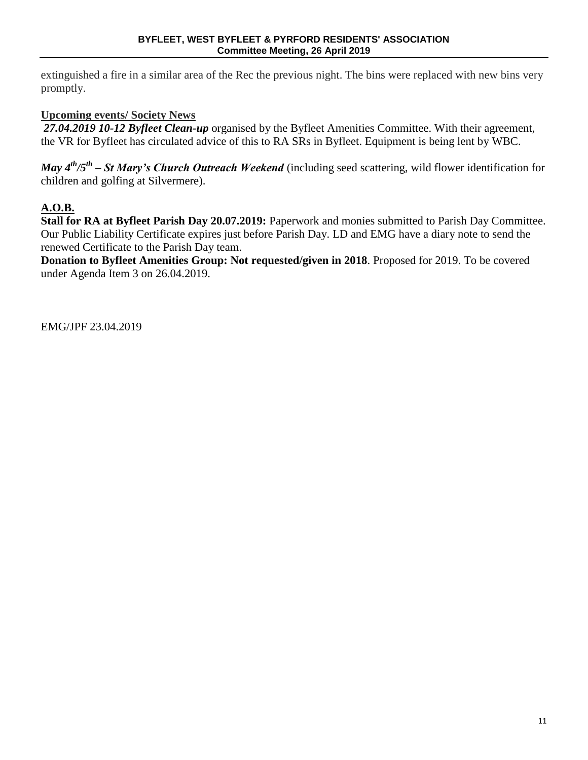extinguished a fire in a similar area of the Rec the previous night. The bins were replaced with new bins very promptly.

## **Upcoming events/ Society News**

*27.04.2019 10-12 Byfleet Clean-up* organised by the Byfleet Amenities Committee. With their agreement, the VR for Byfleet has circulated advice of this to RA SRs in Byfleet. Equipment is being lent by WBC.

*May 4th/5th – St Mary's Church Outreach Weekend* (including seed scattering, wild flower identification for children and golfing at Silvermere).

## **A.O.B.**

**Stall for RA at Byfleet Parish Day 20.07.2019:** Paperwork and monies submitted to Parish Day Committee. Our Public Liability Certificate expires just before Parish Day. LD and EMG have a diary note to send the renewed Certificate to the Parish Day team.

**Donation to Byfleet Amenities Group: Not requested/given in 2018**. Proposed for 2019. To be covered under Agenda Item 3 on 26.04.2019.

EMG/JPF 23.04.2019